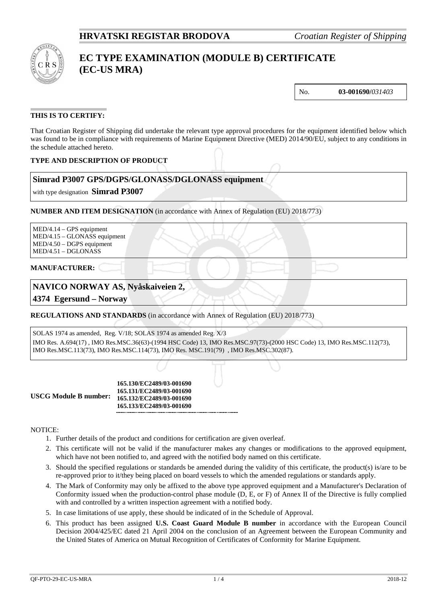

# **EC TYPE EXAMINATION (MODULE B) CERTIFICATE (EC-US MRA)**

No. **03-001690/***031403*

# **THIS IS TO CERTIFY:**

That Croatian Register of Shipping did undertake the relevant type approval procedures for the equipment identified below which was found to be in compliance with requirements of Marine Equipment Directive (MED) 2014/90/EU, subject to any conditions in the schedule attached hereto.

# **TYPE AND DESCRIPTION OF PRODUCT**

# **Simrad P3007 GPS/DGPS/GLONASS/DGLONASS equipment**

with type designation **Simrad P3007**

**NUMBER AND ITEM DESIGNATION** (in accordance with Annex of Regulation (EU) 2018/773)

MED/4.14 – GPS equipment MED/4.15 – GLONASS equipment MED/4.50 – DGPS equipment MED/4.51 – DGLONASS

#### **MANUFACTURER:**

# **NAVICO NORWAY AS, Nyåskaiveien 2,**

**4374 Egersund – Norway**

**REGULATIONS AND STANDARDS** (in accordance with Annex of Regulation (EU) 2018/773)

SOLAS 1974 as amended, Reg. V/18; SOLAS 1974 as amended Reg. X/3 IMO Res. A.694(17) , IMO Res.MSC.36(63)-(1994 HSC Code) 13, IMO Res.MSC.97(73)-(2000 HSC Code) 13, IMO Res.MSC.112(73), IMO Res.MSC.113(73), IMO Res.MSC.114(73), IMO Res. MSC.191(79) , IMO Res.MSC.302(87).

**USCG Module B number:**

**165.130/EC2489/03-001690 165.131/EC2489/03-001690 165.132/EC2489/03-001690 165.133/EC2489/03-001690**

#### NOTICE:

- 1. Further details of the product and conditions for certification are given overleaf.
- 2. This certificate will not be valid if the manufacturer makes any changes or modifications to the approved equipment, which have not been notified to, and agreed with the notified body named on this certificate.
- 3. Should the specified regulations or standards be amended during the validity of this certificate, the product(s) is/are to be re-approved prior to it/they being placed on board vessels to which the amended regulations or standards apply.
- 4. The Mark of Conformity may only be affixed to the above type approved equipment and a Manufacturer's Declaration of Conformity issued when the production-control phase module (D, E, or F) of Annex II of the Directive is fully complied with and controlled by a written inspection agreement with a notified body.
- 5. In case limitations of use apply, these should be indicated of in the Schedule of Approval.
- 6. This product has been assigned **U.S. Coast Guard Module B number** in accordance with the European Council Decision 2004/425/EC dated 21 April 2004 on the conclusion of an Agreement between the European Community and the United States of America on Mutual Recognition of Certificates of Conformity for Marine Equipment.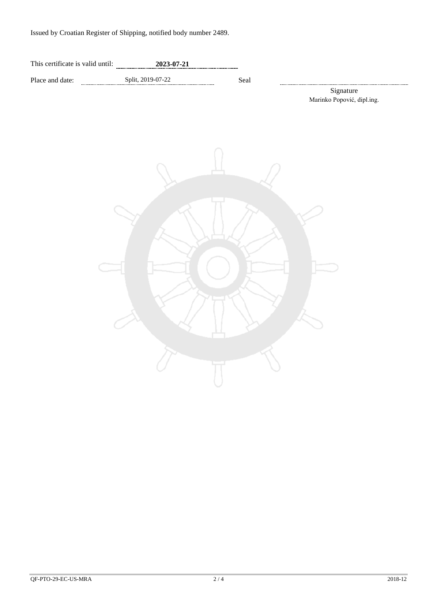Issued by Croatian Register of Shipping, notified body number 2489.

| This certificate is valid until: | 2023-07-21 |  |
|----------------------------------|------------|--|
|                                  |            |  |

Place and date: Split, 2019-07-22 Seal

.................... Signature Marinko Popović, dipl.ing.

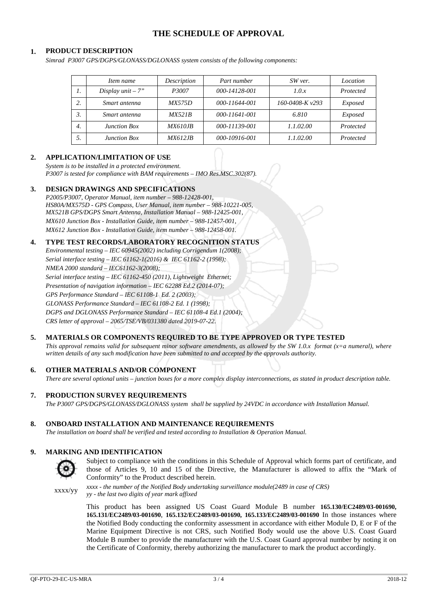# **THE SCHEDULE OF APPROVAL**

### **1. PRODUCT DESCRIPTION**

*Simrad P3007 GPS/DGPS/GLONASS/DGLONASS system consists of the following components:*

|                  | Item name           | Description    | Part number   | SW ver.           | Location  |
|------------------|---------------------|----------------|---------------|-------------------|-----------|
| 1.               | Display $unit - 7"$ | P3007          | 000-14128-001 | 1.0.x             | Protected |
|                  | Smart antenna       | <i>MX575D</i>  | 000-11644-001 | 160-0408-K $v293$ | Exposed   |
|                  | Smart antenna       | MX521B         | 000-11641-001 | 6.810             | Exposed   |
| $\overline{4}$ . | Junction Box        | <i>MX610JB</i> | 000-11139-001 | 1.1.02.00         | Protected |
|                  | <b>Junction Box</b> | <b>MX612JB</b> | 000-10916-001 | 1.1.02.00         | Protected |

# **2. APPLICATION/LIMITATION OF USE**

*System is to be installed in a protected environment. P3007 is tested for compliance with BAM requirements – IMO Res.MSC.302(87).*

### **3. DESIGN DRAWINGS AND SPECIFICATIONS**

*P2005/P3007, Operator Manual, item number – 988-12428-001, HS80A/MX575D - GPS Compass, User Manual, item number – 988-10221-005, MX521B GPS/DGPS Smart Antenna, Installation Manual – 988-12425-001, MX610 Junction Box - Installation Guide, item number – 988-12457-001, MX612 Junction Box - Installation Guide, item number – 988-12458-001.*

#### **4. TYPE TEST RECORDS/LABORATORY RECOGNITION STATUS**

*Environmental testing – IEC 60945(2002) including Corrigendum 1(2008); Serial interface testing – IEC 61162-1(2016) & IEC 61162-2 (1998); NMEA 2000 standard – IEC61162-3(2008); Serial interface testing – IEC 61162-450 (2011), Lightweight Ethernet; Presentation of navigation information – IEC 62288 Ed.2 (2014-07); GPS Performance Standard – IEC 61108-1 Ed. 2 (2003); GLONASS Performance Standard – IEC 61108-2 Ed. 1 (1998); DGPS and DGLONASS Performance Standard – IEC 61108-4 Ed.1 (2004); CRS letter of approval – 2065/TSE/VB/031380 dated 2019-07-22.*

# **5. MATERIALS OR COMPONENTS REQUIRED TO BE TYPE APPROVED OR TYPE TESTED**

*This approval remains valid for subsequent minor software amendments, as allowed by the SW 1.0.x format (x=a numeral), where written details of any such modification have been submitted to and accepted by the approvals authority.*

# **6. OTHER MATERIALS AND/OR COMPONENT**

*There are several optional units – junction boxes for a more complex display interconnections, as stated in product description table.*

#### **7. PRODUCTION SURVEY REQUIREMENTS**

*The P3007 GPS/DGPS/GLONASS/DGLONASS system shall be supplied by 24VDC in accordance with Installation Manual.*

### **8. ONBOARD INSTALLATION AND MAINTENANCE REQUIREMENTS**

*The installation on board shall be verified and tested according to Installation & Operation Manual.*

#### **9. MARKING AND IDENTIFICATION**



Subject to compliance with the conditions in this Schedule of Approval which forms part of certificate, and those of Articles 9, 10 and 15 of the Directive, the Manufacturer is allowed to affix the "Mark of Conformity" to the Product described herein.

xxxx/yy *xxxx - the number of the Notified Body undertaking surveillance module(2489 in case of CRS) yy - the last two digits of year mark affixed*

> This product has been assigned US Coast Guard Module B number **165.130/EC2489/03-001690, 165.131/EC2489/03-001690**, **165.132/EC2489/03-001690, 165.133/EC2489/03-001690** In those instances where the Notified Body conducting the conformity assessment in accordance with either Module D, E or F of the Marine Equipment Directive is not CRS, such Notified Body would use the above U.S. Coast Guard Module B number to provide the manufacturer with the U.S. Coast Guard approval number by noting it on the Certificate of Conformity, thereby authorizing the manufacturer to mark the product accordingly.